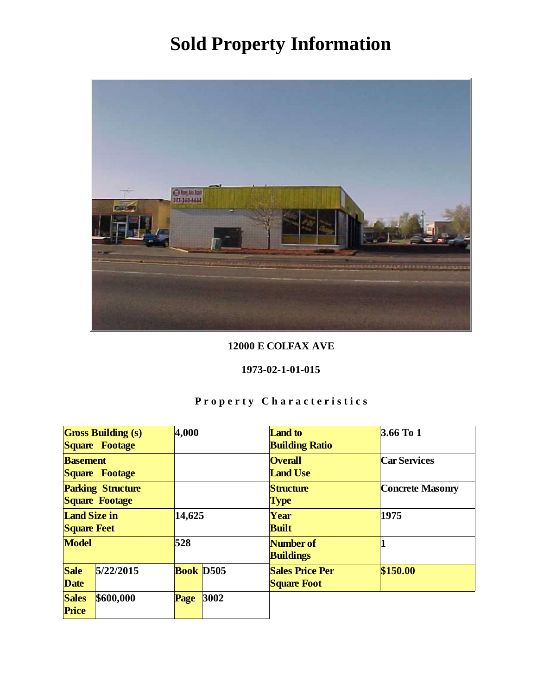

### 12000 E COLFAX AVE

#### 1973-02-1-01-015

|                                            | <b>Gross Building (s)</b><br>Square Footage | 4,000            |      | <b>Land</b> to<br><b>Building Ratio</b>      | 3.66 To 1        |
|--------------------------------------------|---------------------------------------------|------------------|------|----------------------------------------------|------------------|
| <b>Basement</b><br>Square Footage          |                                             |                  |      | <b>Overall</b><br><b>Land Use</b>            | Car Services     |
| <b>Parking Structure</b><br>Square Footage |                                             |                  |      | Structure<br><b>Type</b>                     | Concrete Masonry |
| Land Size in<br><b>Square Feet</b>         |                                             | 14,625           |      | Year<br><b>Built</b>                         | 1975             |
| Model                                      |                                             | 528              |      | Number of<br><b>Buildings</b>                |                  |
| Sale<br>Date                               | 5/22/2015                                   | <b>Book D505</b> |      | <b>Sales Price Per</b><br><b>Square Foot</b> | \$150.00         |
| <b>Sales</b><br>Price                      | \$600,000                                   | Page             | 3002 |                                              |                  |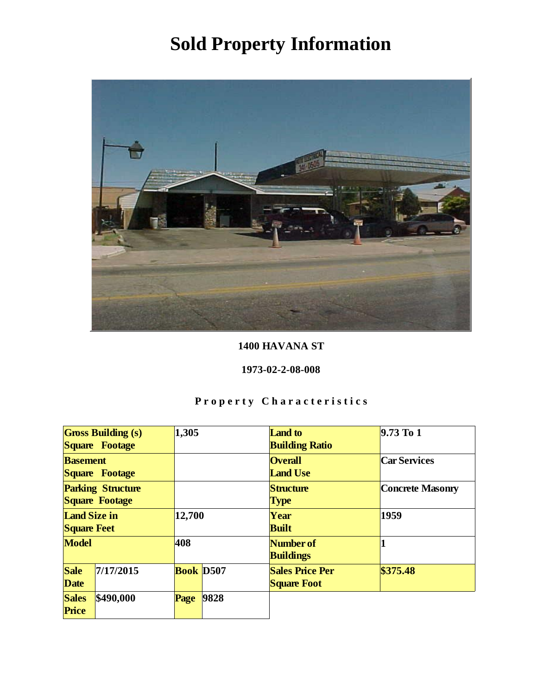

### 1400 HAVANA ST

### 1973-02-2-08-008

|                                            | <b>Gross Building (s)</b><br>Square Footage | 1,305            |      | Land to<br><b>Building Ratio</b>             | $9.73$ To 1      |
|--------------------------------------------|---------------------------------------------|------------------|------|----------------------------------------------|------------------|
| <b>Basement</b>                            | Square Footage                              |                  |      | <b>Overall</b><br><b>Land Use</b>            | Car Services     |
| <b>Parking Structure</b><br>Square Footage |                                             |                  |      | Structure<br><b>Type</b>                     | Concrete Masonry |
| Land Size in<br><b>Square Feet</b>         |                                             | 12,700           |      | Year<br><b>Built</b>                         | 1959             |
| Model                                      |                                             | 408              |      | Number of<br><b>Buildings</b>                |                  |
| Sale<br>Date                               | 7/17/2015                                   | <b>Book D507</b> |      | <b>Sales Price Per</b><br><b>Square Foot</b> | \$375.48         |
| <b>Sales</b><br>Price                      | \$490,000                                   | Page             | 9828 |                                              |                  |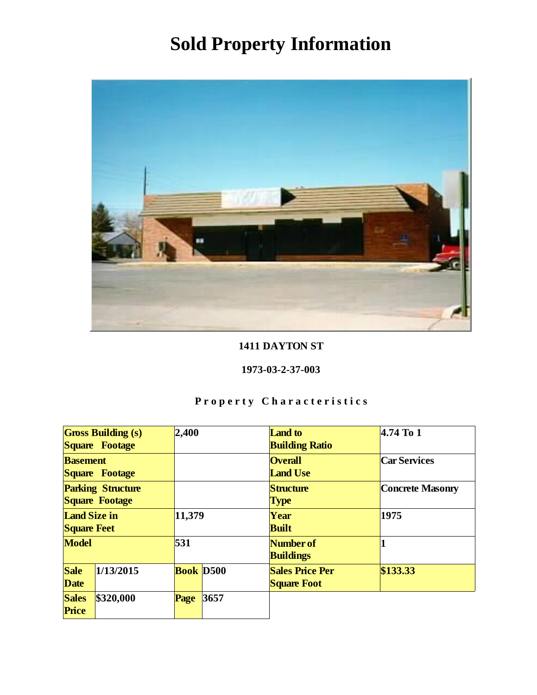

### 1411 DAYTON ST

#### 1973-03-2-37-003

|                          | <b>Gross Building (s)</b> | 2,400            |      | <b>Land</b> to         | $4.74$ To 1      |
|--------------------------|---------------------------|------------------|------|------------------------|------------------|
|                          | Square Footage            |                  |      | <b>Building Ratio</b>  |                  |
| <b>Basement</b>          |                           |                  |      | <b>Overall</b>         | Car Services     |
|                          | Square Footage            |                  |      | <b>Land Use</b>        |                  |
| <b>Parking Structure</b> |                           |                  |      | Structure              | Concrete Masonry |
| Square Footage           |                           |                  |      | <b>Type</b>            |                  |
| Land Size in             |                           | 11,379           |      | Year                   | 1975             |
| <b>Square Feet</b>       |                           |                  |      | <b>Built</b>           |                  |
| Model                    |                           | 531              |      | Number of              |                  |
|                          |                           |                  |      | <b>Buildings</b>       |                  |
| Sale                     | 1/13/2015                 | <b>Book</b> D500 |      | <b>Sales Price Per</b> | \$133.33         |
| Date                     |                           |                  |      | <b>Square Foot</b>     |                  |
| <b>Sales</b>             | \$320,000                 | Page             | 3657 |                        |                  |
| Price                    |                           |                  |      |                        |                  |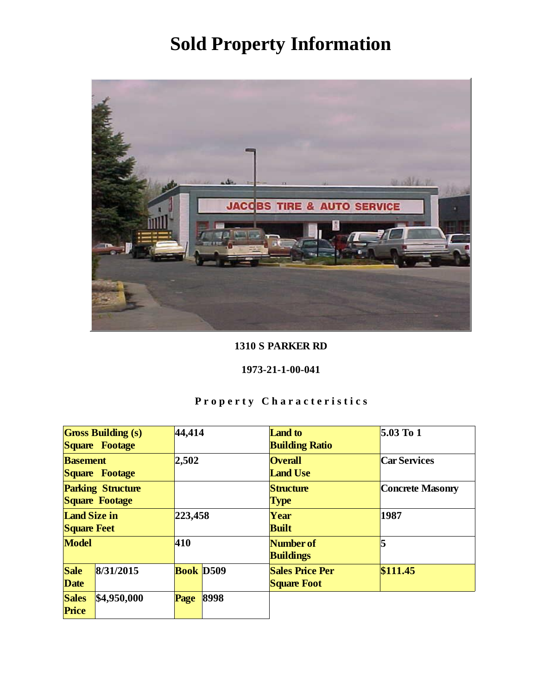

### 1310 S PARKER RD

### 1973-21-1-00-041

|                                            | <b>Gross Building (s)</b><br>Square Footage | 44,414    |      | Land to<br><b>Building Ratio</b>             | $5.03$ To 1      |
|--------------------------------------------|---------------------------------------------|-----------|------|----------------------------------------------|------------------|
| <b>Basement</b><br>Square Footage          |                                             | 2,502     |      | <b>Overall</b><br><b>Land Use</b>            | Car Services     |
| <b>Parking Structure</b><br>Square Footage |                                             |           |      | Structure<br><b>Type</b>                     | Concrete Masonry |
| Land Size in<br><b>Square Feet</b>         |                                             | 223,458   |      | Year<br><b>Built</b>                         | 1987             |
| Model                                      |                                             | 410       |      | Number of<br><b>Buildings</b>                |                  |
| Sale<br>Date                               | 8/31/2015                                   | Book D509 |      | <b>Sales Price Per</b><br><b>Square Foot</b> | \$111.45         |
| <b>Sales</b><br>Price                      | \$4,950,000                                 | Page      | 8998 |                                              |                  |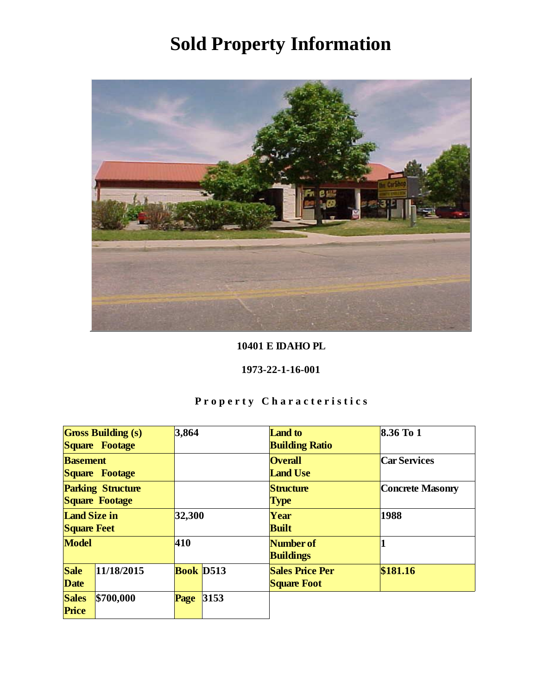

10401 E IDAHO PL

1973-22-1-16-001

|                                            | <b>Gross Building (s)</b><br>Square Footage | 3,864     |      | <b>Land</b> to<br><b>Building Ratio</b>      | $8.36$ To 1      |
|--------------------------------------------|---------------------------------------------|-----------|------|----------------------------------------------|------------------|
| <b>Basement</b>                            | Square Footage                              |           |      | <b>Overall</b><br><b>Land Use</b>            | Car Services     |
| <b>Parking Structure</b><br>Square Footage |                                             |           |      | Structure<br><b>Type</b>                     | Concrete Masonry |
| Land Size in<br><b>Square Feet</b>         |                                             | 32,300    |      | Year<br><b>Built</b>                         | 1988             |
| Model                                      |                                             | 410       |      | Number of<br><b>Buildings</b>                |                  |
| Sale<br>Date                               | 11/18/2015                                  | Book D513 |      | <b>Sales Price Per</b><br><b>Square Foot</b> | \$181.16         |
| <b>Sales</b><br>Price                      | \$700,000                                   | Page      | 3153 |                                              |                  |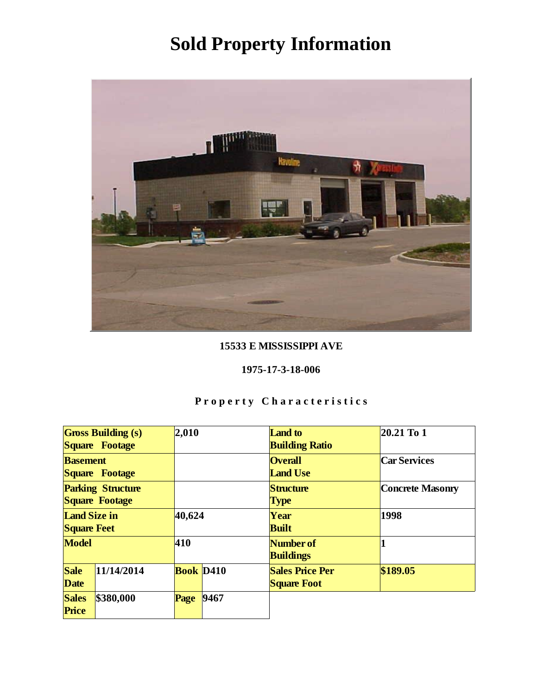

### 15533 E MISSISSIPPI AVE

### 1975-17-3-18-006

|                                            | <b>Gross Building (s)</b><br>Square Footage | 2,010                        |      | Land to<br><b>Building Ratio</b>             | $20.21$ To 1     |
|--------------------------------------------|---------------------------------------------|------------------------------|------|----------------------------------------------|------------------|
| <b>Basement</b>                            | Square Footage                              |                              |      | <b>Overall</b><br><b>Land Use</b>            | Car Services     |
| <b>Parking Structure</b><br>Square Footage |                                             |                              |      | Structure<br><b>Type</b>                     | Concrete Masonry |
| Land Size in<br><b>Square Feet</b>         |                                             | 40,624                       |      | Year<br><b>Built</b>                         | 1998             |
| Model                                      |                                             | 410                          |      | Number of<br><b>Buildings</b>                |                  |
| Sale<br>Date                               | 11/14/2014                                  | <b>Book</b> D <sub>410</sub> |      | <b>Sales Price Per</b><br><b>Square Foot</b> | \$189.05         |
| <b>Sales</b><br>Price                      | \$380,000                                   | Page                         | 9467 |                                              |                  |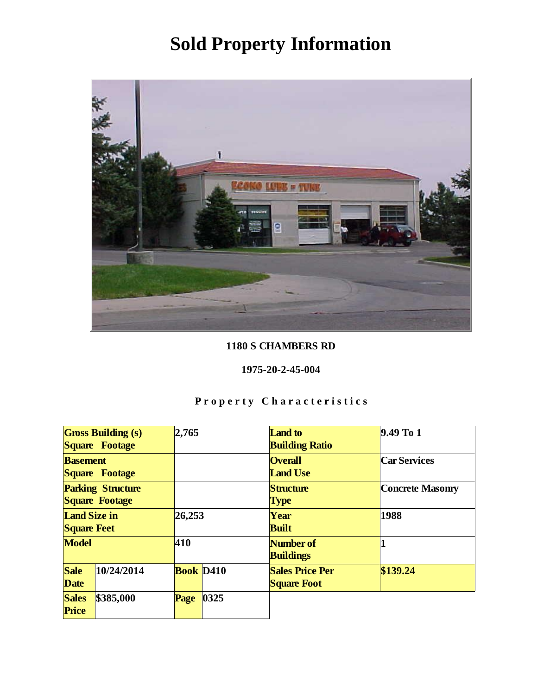

### 1180 S CHAMBERS RD

#### 1975-20-2-45-004

|                                            | <b>Gross Building (s)</b><br>Square Footage | 2,765                        |      | Land to<br><b>Building Ratio</b>             | $9.49$ To 1      |
|--------------------------------------------|---------------------------------------------|------------------------------|------|----------------------------------------------|------------------|
| <b>Basement</b>                            | Square Footage                              |                              |      | <b>Overall</b><br><b>Land Use</b>            | Car Services     |
| <b>Parking Structure</b><br>Square Footage |                                             |                              |      | Structure<br><b>Type</b>                     | Concrete Masonry |
| Land Size in<br><b>Square Feet</b>         |                                             | 26,253                       |      | Year<br><b>Built</b>                         | 1988             |
| Model                                      |                                             | 410                          |      | Number of<br><b>Buildings</b>                |                  |
| Sale<br>Date                               | 10/24/2014                                  | <b>Book</b> D <sub>410</sub> |      | <b>Sales Price Per</b><br><b>Square Foot</b> | \$139.24         |
| <b>Sales</b><br>Price                      | \$385,000                                   | Page                         | 0325 |                                              |                  |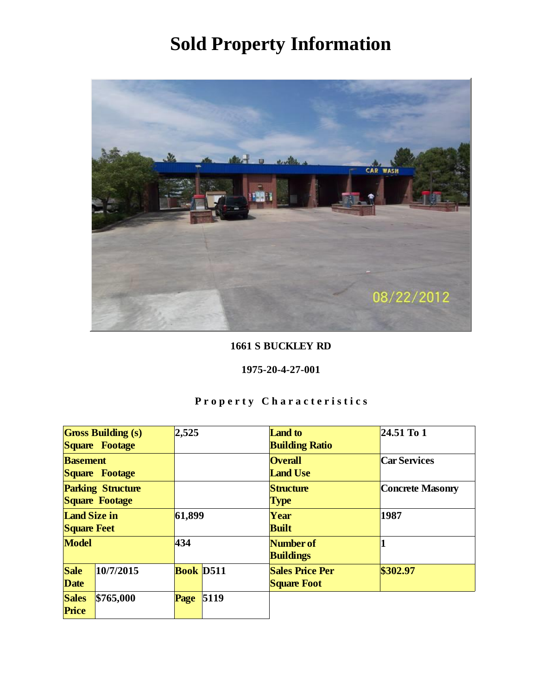

1661 S BUCKLEY RD

1975-20-4-27-001

|                                            | <b>Gross Building (s)</b><br>Square Footage | 2,525            |      | <b>Land</b> to<br><b>Building Ratio</b>      | $24.51$ To 1     |
|--------------------------------------------|---------------------------------------------|------------------|------|----------------------------------------------|------------------|
| <b>Basement</b>                            | Square Footage                              |                  |      | <b>Overall</b><br><b>Land Use</b>            | Car Services     |
| <b>Parking Structure</b><br>Square Footage |                                             |                  |      | Structure<br><b>Type</b>                     | Concrete Masonry |
| Land Size in<br><b>Square Feet</b>         |                                             | 61,899           |      | Year<br><b>Built</b>                         | 1987             |
| Model                                      |                                             | 434              |      | Number of<br><b>Buildings</b>                |                  |
| Sale<br>Date                               | 10/7/2015                                   | <b>Book</b> D511 |      | <b>Sales Price Per</b><br><b>Square Foot</b> | \$302.97         |
| <b>Sales</b><br>Price                      | \$765,000                                   | Page             | 5119 |                                              |                  |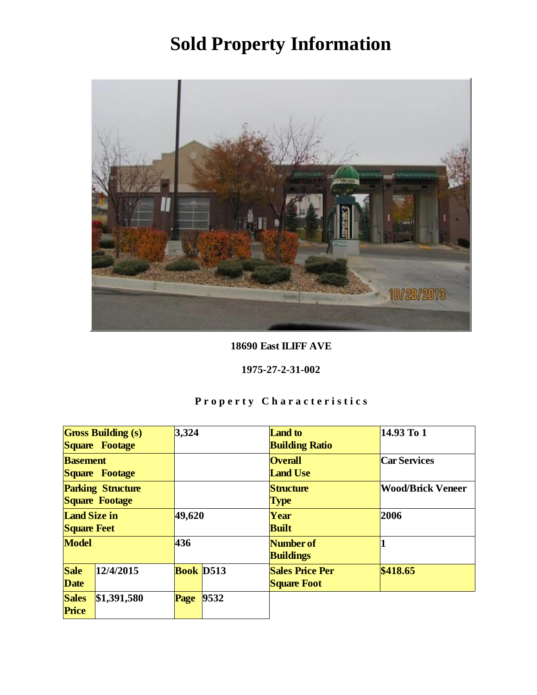

18690 East ILIFF AVE

1975-27-2-31-002

|                                            | <b>Gross Building (s)</b><br>Square Footage | 3,324     |      | <b>Land</b> to<br><b>Building Ratio</b>      | 14.93 To 1               |
|--------------------------------------------|---------------------------------------------|-----------|------|----------------------------------------------|--------------------------|
| <b>Basement</b>                            | Square Footage                              |           |      | <b>Overall</b><br><b>Land Use</b>            | Car Services             |
| <b>Parking Structure</b><br>Square Footage |                                             |           |      | Structure<br><b>Type</b>                     | <b>Wood/Brick Veneer</b> |
| Land Size in<br><b>Square Feet</b>         |                                             | 49,620    |      | Year<br><b>Built</b>                         | 2006                     |
| Model                                      |                                             | 436       |      | Number of<br><b>Buildings</b>                |                          |
| Sale<br>Date                               | 12/4/2015                                   | Book D513 |      | <b>Sales Price Per</b><br><b>Square Foot</b> | \$418.65                 |
| <b>Sales</b><br>Price                      | \$1,391,580                                 | Page      | 9532 |                                              |                          |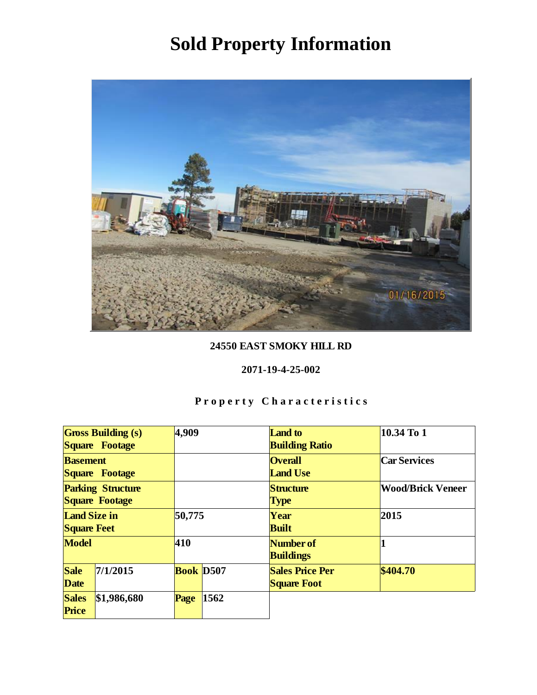

### 24550 EAST SMOKY HILL RD

#### 2071-19-4-25-002

|                                            | <b>Gross Building (s)</b><br>Square Footage | 4,909            |      | Land to<br><b>Building Ratio</b>             | 10.34 To 1               |
|--------------------------------------------|---------------------------------------------|------------------|------|----------------------------------------------|--------------------------|
| <b>Basement</b>                            | Square Footage                              |                  |      | <b>Overall</b><br><b>Land Use</b>            | Car Services             |
| <b>Parking Structure</b><br>Square Footage |                                             |                  |      | Structure<br><b>Type</b>                     | <b>Wood/Brick Veneer</b> |
| Land Size in<br><b>Square Feet</b>         |                                             | 50,775           |      | Year<br><b>Built</b>                         | 2015                     |
| Model                                      |                                             | 410              |      | Number of<br><b>Buildings</b>                |                          |
| Sale<br>Date                               | 7/1/2015                                    | <b>Book D507</b> |      | <b>Sales Price Per</b><br><b>Square Foot</b> | \$404.70                 |
| <b>Sales</b><br>Price                      | \$1,986,680                                 | Page             | 1562 |                                              |                          |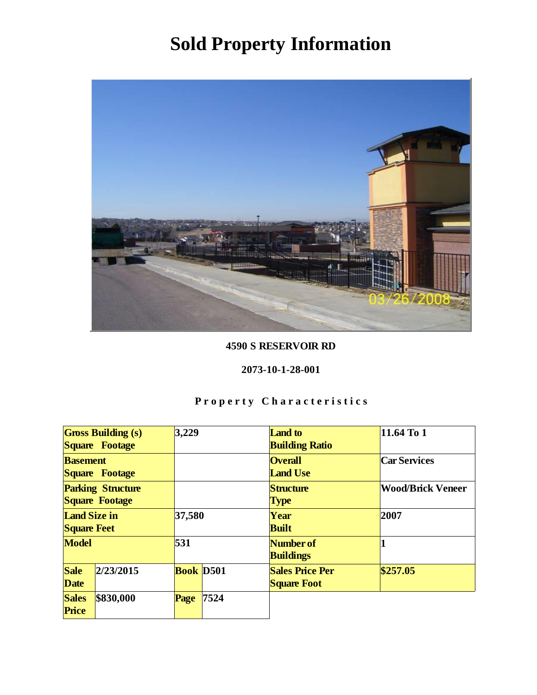

#### 4590 S RESERVOIR RD

#### 2073-10-1-28-001

|                                            | <b>Gross Building (s)</b><br>Square Footage | 3,229            |      | Land to<br><b>Building Ratio</b>             | 11.64 To 1               |
|--------------------------------------------|---------------------------------------------|------------------|------|----------------------------------------------|--------------------------|
| <b>Basement</b><br>Square Footage          |                                             |                  |      | <b>Overall</b><br><b>Land Use</b>            | Car Services             |
| <b>Parking Structure</b><br>Square Footage |                                             |                  |      | Structure<br><b>Type</b>                     | <b>Wood/Brick Veneer</b> |
| Land Size in<br><b>Square Feet</b>         |                                             | 37,580           |      | Year<br><b>Built</b>                         | 2007                     |
| Model                                      |                                             | 531              |      | Number of<br><b>Buildings</b>                |                          |
| Sale<br>Date                               | 2/23/2015                                   | <b>Book</b> D501 |      | <b>Sales Price Per</b><br><b>Square Foot</b> | \$257.05                 |
| <b>Sales</b><br>Price                      | \$830,000                                   | Page             | 7524 |                                              |                          |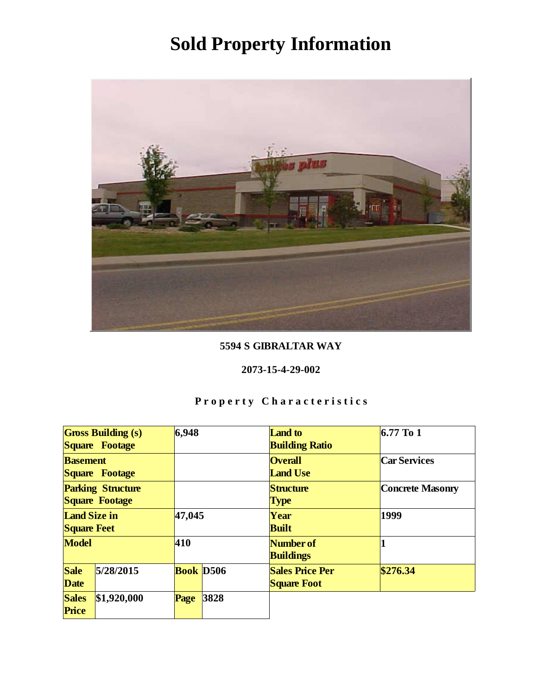

### 5594 S GIBRALTAR WAY

#### 2073-15-4-29-002

|                                            | <b>Gross Building (s)</b><br>Square Footage | 6,948     |      | Land to<br><b>Building Ratio</b>             | $6.77$ To 1      |
|--------------------------------------------|---------------------------------------------|-----------|------|----------------------------------------------|------------------|
| <b>Basement</b>                            | Square Footage                              |           |      | <b>Overall</b><br><b>Land Use</b>            | Car Services     |
| <b>Parking Structure</b><br>Square Footage |                                             |           |      | Structure<br><b>Type</b>                     | Concrete Masonry |
| Land Size in<br><b>Square Feet</b>         |                                             | 47,045    |      | Year<br><b>Built</b>                         | 1999             |
| Model                                      |                                             | 410       |      | Number of<br><b>Buildings</b>                |                  |
| Sale<br>Date                               | 5/28/2015                                   | Book D506 |      | <b>Sales Price Per</b><br><b>Square Foot</b> | \$276.34         |
| <b>Sales</b><br>Price                      | \$1,920,000                                 | Page      | 3828 |                                              |                  |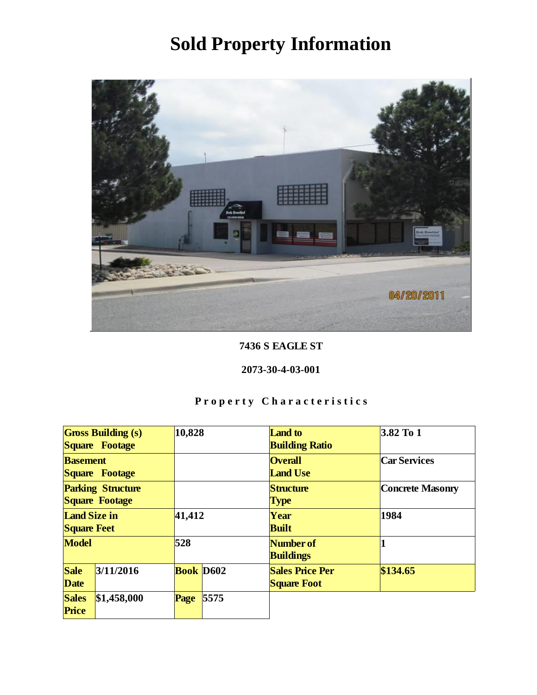

7436 S EAGLE ST

2073-30-4-03-001

| <b>Gross Building (s)</b><br>Square Footage |             | 10,828           |      | <b>Land</b> to<br><b>Building Ratio</b>      | $3.82$ To 1      |
|---------------------------------------------|-------------|------------------|------|----------------------------------------------|------------------|
| <b>Basement</b><br>Square Footage           |             |                  |      | <b>Overall</b><br><b>Land Use</b>            | Car Services     |
| <b>Parking Structure</b><br>Square Footage  |             |                  |      | Structure<br><b>Type</b>                     | Concrete Masonry |
| Land Size in<br><b>Square Feet</b>          |             | 41,412           |      | Year<br><b>Built</b>                         | 1984             |
| Model                                       |             | 528              |      | Number of<br><b>Buildings</b>                |                  |
| Sale<br>Date                                | 3/11/2016   | <b>Book</b> D602 |      | <b>Sales Price Per</b><br><b>Square Foot</b> | \$134.65         |
| <b>Sales</b><br>Price                       | \$1,458,000 | Page             | 5575 |                                              |                  |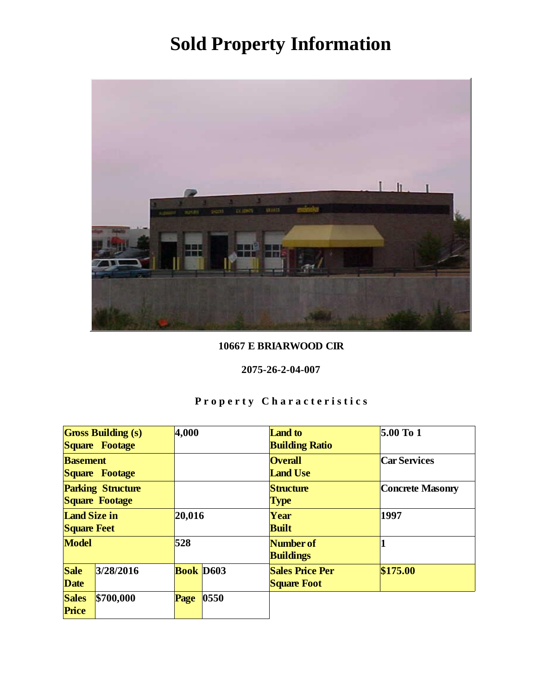

### 10667 E BRIARWOOD CIR

#### 2075-26-2-04-007

| <b>Gross Building (s)</b><br>Square Footage |           | 4,000            |      | Land to<br><b>Building Ratio</b>             | $5.00$ To 1      |
|---------------------------------------------|-----------|------------------|------|----------------------------------------------|------------------|
| <b>Basement</b><br>Square Footage           |           |                  |      | <b>Overall</b><br><b>Land Use</b>            | Car Services     |
| <b>Parking Structure</b><br>Square Footage  |           |                  |      | Structure<br><b>Type</b>                     | Concrete Masonry |
| Land Size in<br><b>Square Feet</b>          |           | 20,016           |      | Year<br><b>Built</b>                         | 1997             |
| Model                                       |           | 528              |      | Number of<br><b>Buildings</b>                |                  |
| Sale<br>Date                                | 3/28/2016 | <b>Book</b> D603 |      | <b>Sales Price Per</b><br><b>Square Foot</b> | \$175.00         |
| <b>Sales</b><br>Price                       | \$700,000 | Page             | 0550 |                                              |                  |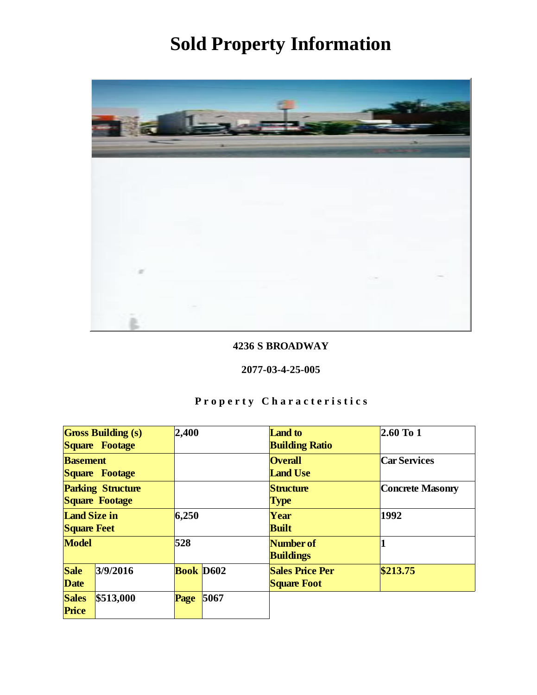

### 4236 S BROADWAY

#### 2077-03-4-25-005

| <b>Gross Building (s)</b><br>Square Footage |           | 2,400     |      | Land to<br><b>Building Ratio</b>             | $2.60$ To 1      |
|---------------------------------------------|-----------|-----------|------|----------------------------------------------|------------------|
| <b>Basement</b><br>Square Footage           |           |           |      | <b>Overall</b><br><b>Land Use</b>            | Car Services     |
| <b>Parking Structure</b><br>Square Footage  |           |           |      | Structure<br><b>Type</b>                     | Concrete Masonry |
| Land Size in<br><b>Square Feet</b>          |           | 6,250     |      | Year<br><b>Built</b>                         | 1992             |
| Model                                       |           | 528       |      | Number of<br><b>Buildings</b>                |                  |
| Sale<br>Date                                | 3/9/2016  | Book D602 |      | <b>Sales Price Per</b><br><b>Square Foot</b> | \$213.75         |
| <b>Sales</b><br>Price                       | \$513,000 | Page      | 5067 |                                              |                  |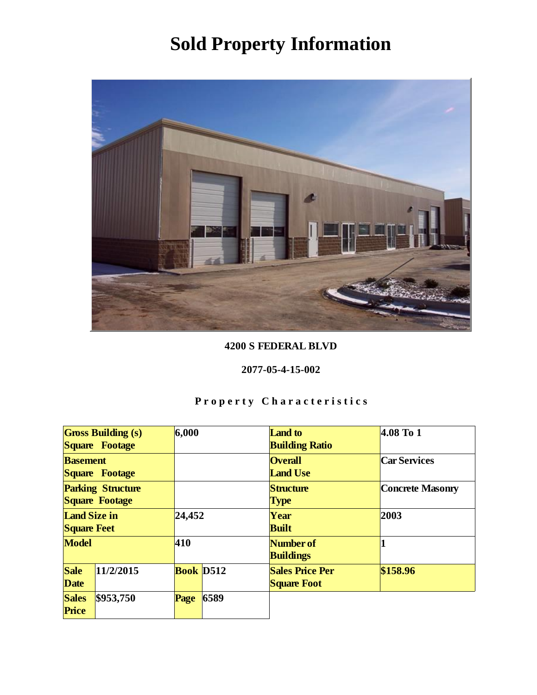

### 4200 S FEDERAL BLVD

#### 2077-05-4-15-002

| <b>Gross Building (s)</b><br>Square Footage |           | 6,000     |      | Land to<br><b>Building Ratio</b>             | 4.08 To 1        |
|---------------------------------------------|-----------|-----------|------|----------------------------------------------|------------------|
| <b>Basement</b><br>Square Footage           |           |           |      | <b>Overall</b><br><b>Land Use</b>            | Car Services     |
| <b>Parking Structure</b><br>Square Footage  |           |           |      | Structure<br><b>Type</b>                     | Concrete Masonry |
| Land Size in<br><b>Square Feet</b>          |           | 24,452    |      | Year<br><b>Built</b>                         | 2003             |
| Model                                       |           | 410       |      | Number of<br><b>Buildings</b>                |                  |
| Sale<br>Date                                | 11/2/2015 | Book D512 |      | <b>Sales Price Per</b><br><b>Square Foot</b> | \$158.96         |
| <b>Sales</b><br>Price                       | \$953,750 | Page      | 6589 |                                              |                  |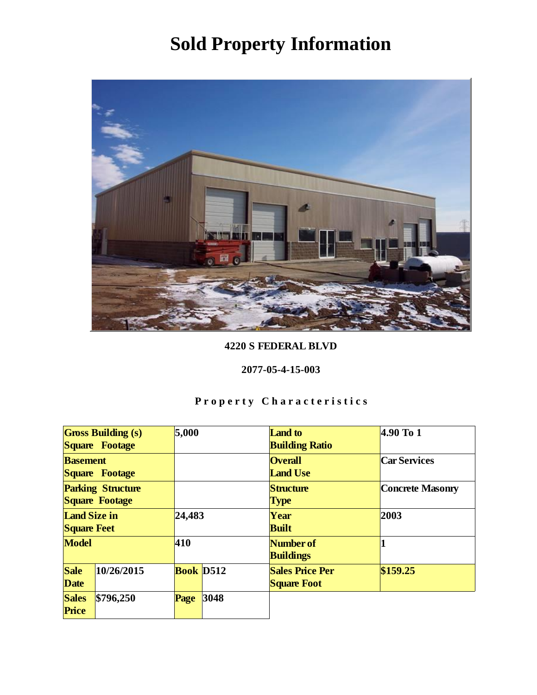

### 4220 S FEDERAL BLVD

#### 2077-05-4-15-003

| Gross Building (s)<br>Square Footage       |            | 5,000     |      | <b>Land</b> to<br><b>Building Ratio</b>      | 4.90 To 1        |
|--------------------------------------------|------------|-----------|------|----------------------------------------------|------------------|
| <b>Basement</b><br>Square Footage          |            |           |      | <b>Overall</b><br><b>Land Use</b>            | Car Services     |
| <b>Parking Structure</b><br>Square Footage |            |           |      | Structure<br><b>Type</b>                     | Concrete Masonry |
| Land Size in<br><b>Square Feet</b>         |            | 24,483    |      | Year<br><b>Built</b>                         | 2003             |
| Model                                      |            | 410       |      | Number of<br><b>Buildings</b>                |                  |
| Sale<br>Date                               | 10/26/2015 | Book D512 |      | <b>Sales Price Per</b><br><b>Square Foot</b> | \$159.25         |
| <b>Sales</b><br>Price                      | \$796,250  | Page      | 3048 |                                              |                  |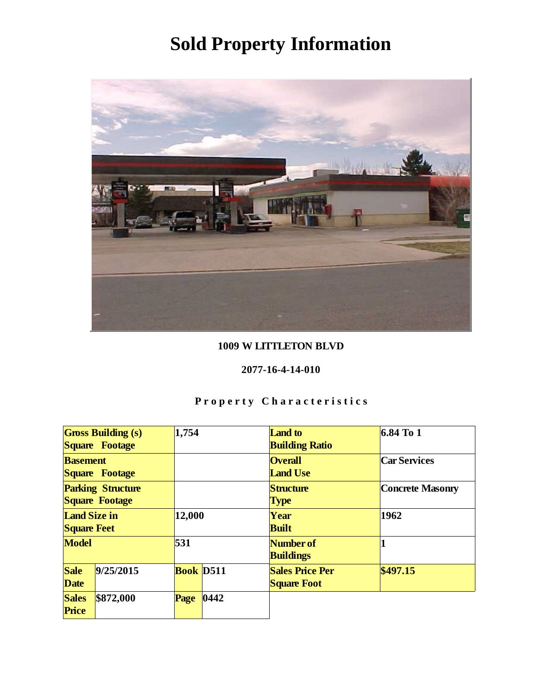

### 1009 W LITTLETON BLVD

#### 2077-16-4-14-010

| <b>Gross Building (s)</b><br>Square Footage |           | 1,754     |      | Land to<br><b>Building Ratio</b>             | $6.84$ To 1      |
|---------------------------------------------|-----------|-----------|------|----------------------------------------------|------------------|
| <b>Basement</b><br>Square Footage           |           |           |      | <b>Overall</b><br><b>Land Use</b>            | Car Services     |
| <b>Parking Structure</b><br>Square Footage  |           |           |      | Structure<br>Type                            | Concrete Masonry |
| Land Size in<br><b>Square Feet</b>          |           | 12,000    |      | Year<br><b>Built</b>                         | 1962             |
| Model                                       |           | 531       |      | Number of<br><b>Buildings</b>                |                  |
| <b>Sale</b><br>Date                         | 9/25/2015 | Book D511 |      | <b>Sales Price Per</b><br><b>Square Foot</b> | \$497.15         |
| <b>Sales</b><br>Price                       | \$872,000 | Page      | 0442 |                                              |                  |